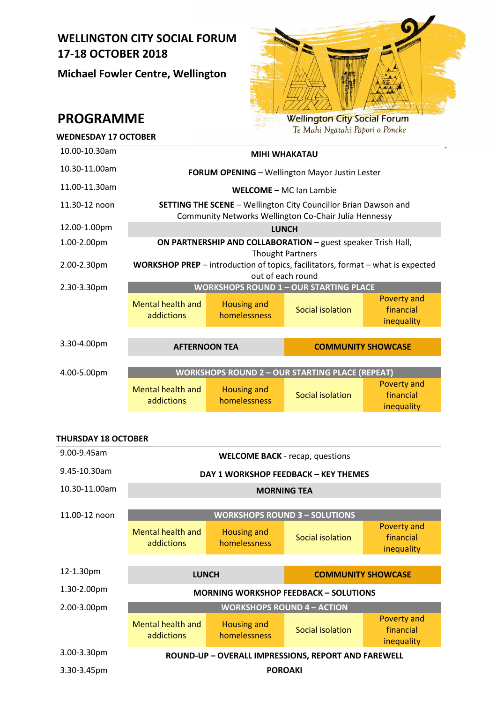# **WELLINGTON CITY SOCIAL FORUM 17-18 OCTOBER 2018**

**Michael Fowler Centre, Wellington**



**PROGRAMME**

| Te Mani Ingalant Lapon o Foneke<br><b>WEDNESDAY 17 OCTOBER</b>        |                                                                                                                                 |                                    |                           |                                               |  |  |
|-----------------------------------------------------------------------|---------------------------------------------------------------------------------------------------------------------------------|------------------------------------|---------------------------|-----------------------------------------------|--|--|
| 10.00-10.30am                                                         | <b>MIHI WHAKATAU</b>                                                                                                            |                                    |                           |                                               |  |  |
| 10.30-11.00am                                                         | <b>FORUM OPENING - Wellington Mayor Justin Lester</b>                                                                           |                                    |                           |                                               |  |  |
| 11.00-11.30am                                                         | <b>WELCOME - MC Jan Lambie</b>                                                                                                  |                                    |                           |                                               |  |  |
| 11.30-12 noon                                                         | <b>SETTING THE SCENE - Wellington City Councillor Brian Dawson and</b><br>Community Networks Wellington Co-Chair Julia Hennessy |                                    |                           |                                               |  |  |
| 12.00-1.00pm                                                          | <b>LUNCH</b>                                                                                                                    |                                    |                           |                                               |  |  |
| 1.00-2.00pm                                                           | ON PARTNERSHIP AND COLLABORATION - guest speaker Trish Hall,<br><b>Thought Partners</b>                                         |                                    |                           |                                               |  |  |
| 2.00-2.30pm                                                           | WORKSHOP PREP - introduction of topics, facilitators, format - what is expected<br>out of each round                            |                                    |                           |                                               |  |  |
| 2.30-3.30pm                                                           | <b>WORKSHOPS ROUND 1 - OUR STARTING PLACE</b>                                                                                   |                                    |                           |                                               |  |  |
|                                                                       | <b>Mental health and</b><br>addictions                                                                                          | <b>Housing and</b><br>homelessness | Social isolation          | Poverty and<br>financial<br>inequality        |  |  |
|                                                                       |                                                                                                                                 |                                    |                           |                                               |  |  |
| 3.30-4.00pm                                                           | <b>AFTERNOON TEA</b>                                                                                                            |                                    | <b>COMMUNITY SHOWCASE</b> |                                               |  |  |
| <b>WORKSHOPS ROUND 2 - OUR STARTING PLACE (REPEAT)</b><br>4.00-5.00pm |                                                                                                                                 |                                    |                           |                                               |  |  |
|                                                                       | <b>Mental health and</b><br>addictions                                                                                          | <b>Housing and</b><br>homelessness | Social isolation          | <b>Poverty and</b><br>financial<br>inequality |  |  |

# **THURSDAY 18 OCTOBER**

| 9.00-9.45am   | <b>WELCOME BACK</b> - recap, questions |                                    |                                                     |                                               |  |  |
|---------------|----------------------------------------|------------------------------------|-----------------------------------------------------|-----------------------------------------------|--|--|
| 9.45-10.30am  | DAY 1 WORKSHOP FEEDBACK - KEY THEMES   |                                    |                                                     |                                               |  |  |
| 10.30-11.00am | <b>MORNING TEA</b>                     |                                    |                                                     |                                               |  |  |
| 11.00-12 noon | <b>WORKSHOPS ROUND 3 - SOLUTIONS</b>   |                                    |                                                     |                                               |  |  |
|               | Mental health and<br>addictions        | <b>Housing and</b><br>homelessness | Social isolation                                    | <b>Poverty and</b><br>financial<br>inequality |  |  |
|               |                                        |                                    |                                                     |                                               |  |  |
|               |                                        |                                    |                                                     |                                               |  |  |
| 12-1.30pm     | <b>LUNCH</b>                           |                                    | <b>COMMUNITY SHOWCASE</b>                           |                                               |  |  |
| 1.30-2.00pm   |                                        |                                    | <b>MORNING WORKSHOP FEEDBACK - SOLUTIONS</b>        |                                               |  |  |
| 2.00-3.00pm   |                                        |                                    | <b>WORKSHOPS ROUND 4 - ACTION</b>                   |                                               |  |  |
|               | <b>Mental health and</b><br>addictions | <b>Housing and</b><br>homelessness | Social isolation                                    | <b>Poverty and</b><br>financial<br>inequality |  |  |
| 3.00-3.30pm   |                                        |                                    | ROUND-UP - OVERALL IMPRESSIONS, REPORT AND FAREWELL |                                               |  |  |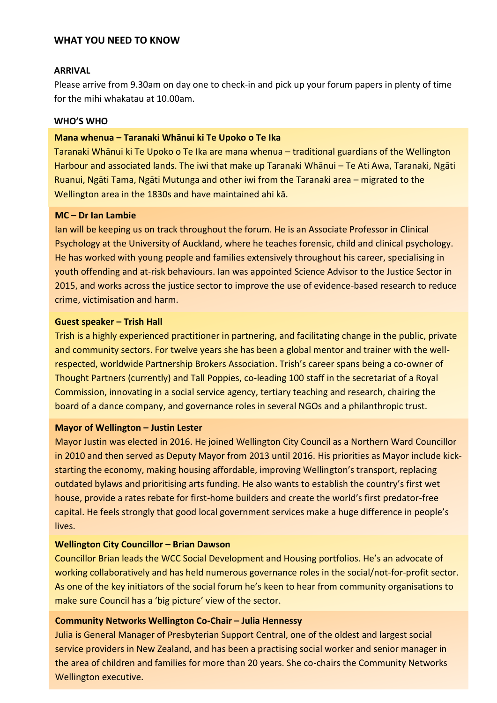# **WHAT YOU NEED TO KNOW**

## **ARRIVAL**

Please arrive from 9.30am on day one to check-in and pick up your forum papers in plenty of time for the mihi whakatau at 10.00am.

## **WHO'S WHO**

#### **Mana whenua – Taranaki Whānui ki Te Upoko o Te Ika**

Taranaki Whānui ki Te Upoko o Te Ika are mana whenua – traditional guardians of the Wellington Harbour and associated lands. The iwi that make up Taranaki Whānui – Te Ati Awa, Taranaki, Ngāti Ruanui, Ngāti Tama, Ngāti Mutunga and other iwi from the Taranaki area – migrated to the Wellington area in the 1830s and have maintained ahi kā.

# **MC – Dr Ian Lambie**

Ian will be keeping us on track throughout the forum. He is an Associate Professor in Clinical Psychology at the University of Auckland, where he teaches forensic, child and clinical psychology. He has worked with young people and families extensively throughout his career, specialising in youth offending and at-risk behaviours. Ian was appointed Science Advisor to the Justice Sector in 2015, and works across the justice sector to improve the use of evidence-based research to reduce crime, victimisation and harm.

#### **Guest speaker – Trish Hall**

Trish is a highly experienced practitioner in partnering, and facilitating change in the public, private and community sectors. For twelve years she has been a global mentor and trainer with the wellrespected, worldwide Partnership Brokers Association. Trish's career spans being a co-owner of Thought Partners (currently) and Tall Poppies, co-leading 100 staff in the secretariat of a Royal Commission, innovating in a social service agency, tertiary teaching and research, chairing the board of a dance company, and governance roles in several NGOs and a philanthropic trust.

#### **Mayor of Wellington – Justin Lester**

Mayor Justin was elected in 2016. He joined Wellington City Council as a Northern Ward Councillor in 2010 and then served as Deputy Mayor from 2013 until 2016. His priorities as Mayor include kickstarting the economy, making housing affordable, improving Wellington's transport, replacing outdated bylaws and prioritising arts funding. He also wants to establish the country's first wet house, provide a rates rebate for first-home builders and create the world's first predator-free capital. He feels strongly that good local government services make a huge difference in people's lives.

## **Wellington City Councillor – Brian Dawson**

Councillor Brian leads the WCC Social Development and Housing portfolios. He's an advocate of working collaboratively and has held numerous governance roles in the social/not-for-profit sector. As one of the key initiators of the social forum he's keen to hear from community organisations to make sure Council has a 'big picture' view of the sector.

## **Community Networks Wellington Co-Chair – Julia Hennessy**

Julia is General Manager of Presbyterian Support Central, one of the oldest and largest social service providers in New Zealand, and has been a practising social worker and senior manager in the area of children and families for more than 20 years. She co-chairs the Community Networks Wellington executive.